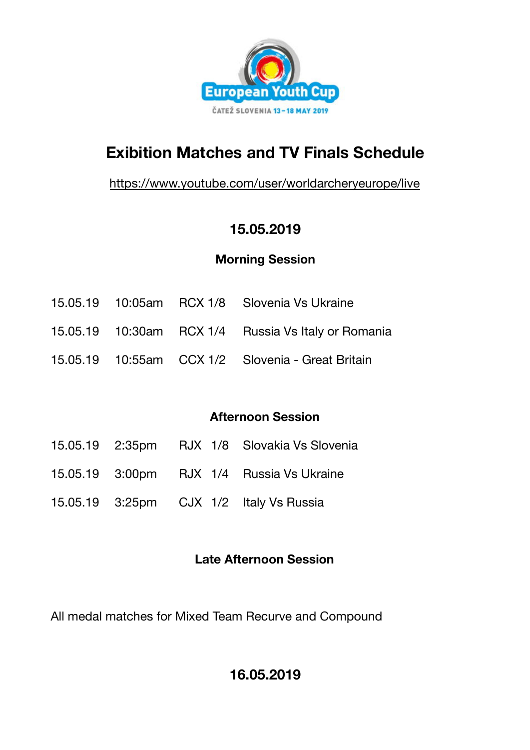

# **Exibition Matches and TV Finals Schedule**

<https://www.youtube.com/user/worldarcheryeurope/live>

# **15.05.2019**

# **Morning Session**

- 15.05.19 10:05am RCX 1/8 Slovenia Vs Ukraine
- 15.05.19 10:30am RCX 1/4 Russia Vs Italy or Romania
- 15.05.19 10:55am CCX 1/2 Slovenia Great Britain

# **Afternoon Session**

- 15.05.19 2:35pm RJX 1/8 Slovakia Vs Slovenia
- 15.05.19 3:00pm RJX 1/4 Russia Vs Ukraine
- 15.05.19 3:25pm CJX 1/2 Italy Vs Russia

### **Late Afternoon Session**

All medal matches for Mixed Team Recurve and Compound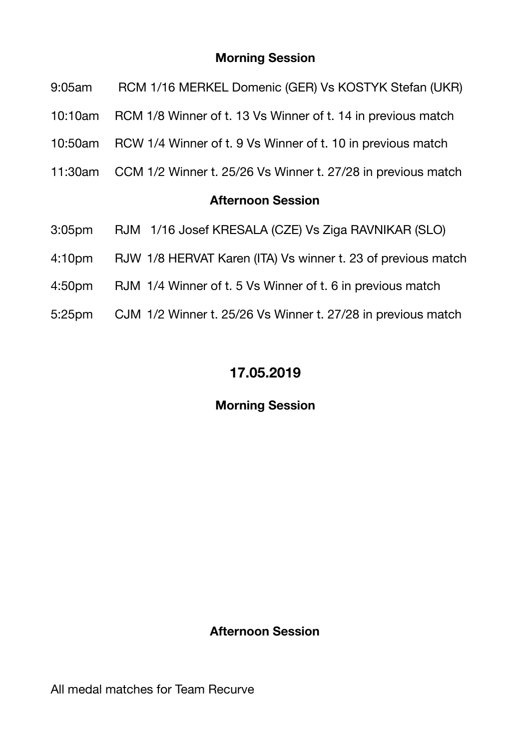#### **Morning Session**

- 9:05am RCM 1/16 MERKEL Domenic (GER) Vs KOSTYK Stefan (UKR)
- 10:10am RCM 1/8 Winner of t. 13 Vs Winner of t. 14 in previous match
- 10:50am RCW 1/4 Winner of t. 9 Vs Winner of t. 10 in previous match
- 11:30am CCM 1/2 Winner t. 25/26 Vs Winner t. 27/28 in previous match

#### **Afternoon Session**

- 3:05pm RJM 1/16 Josef KRESALA (CZE) Vs Ziga RAVNIKAR (SLO)
- 4:10pm RJW 1/8 HERVAT Karen (ITA) Vs winner t. 23 of previous match
- 4:50pm RJM 1/4 Winner of t. 5 Vs Winner of t. 6 in previous match
- 5:25pm CJM 1/2 Winner t. 25/26 Vs Winner t. 27/28 in previous match

# **17.05.2019**

### **Morning Session**

#### **Afternoon Session**